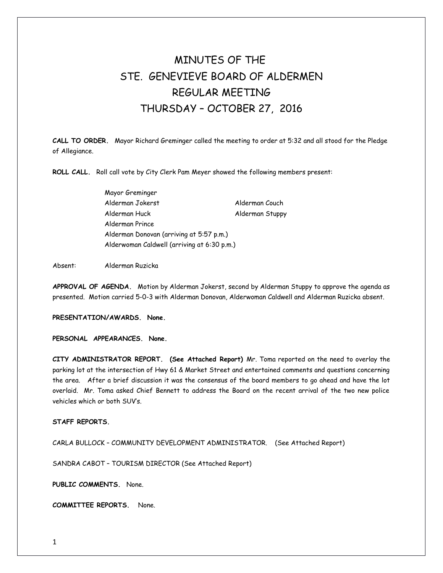# MINUTES OF THE STE. GENEVIEVE BOARD OF ALDERMEN REGULAR MEETING THURSDAY – OCTOBER 27, 2016

**CALL TO ORDER.** Mayor Richard Greminger called the meeting to order at 5:32 and all stood for the Pledge of Allegiance.

**ROLL CALL.** Roll call vote by City Clerk Pam Meyer showed the following members present:

Mayor Greminger Alderman Jokerst Alderman Couch Alderman Huck Alderman Stuppy Alderman Prince Alderman Donovan (arriving at 5:57 p.m.) Alderwoman Caldwell (arriving at 6:30 p.m.)

Absent: Alderman Ruzicka

**APPROVAL OF AGENDA.** Motion by Alderman Jokerst, second by Alderman Stuppy to approve the agenda as presented. Motion carried 5-0-3 with Alderman Donovan, Alderwoman Caldwell and Alderman Ruzicka absent.

**PRESENTATION/AWARDS. None.** 

**PERSONAL APPEARANCES. None.** 

**CITY ADMINISTRATOR REPORT. (See Attached Report)** Mr. Toma reported on the need to overlay the parking lot at the intersection of Hwy 61 & Market Street and entertained comments and questions concerning the area. After a brief discussion it was the consensus of the board members to go ahead and have the lot overlaid. Mr. Toma asked Chief Bennett to address the Board on the recent arrival of the two new police vehicles which or both SUV's.

## **STAFF REPORTS.**

CARLA BULLOCK – COMMUNITY DEVELOPMENT ADMINISTRATOR. (See Attached Report)

SANDRA CABOT – TOURISM DIRECTOR (See Attached Report)

**PUBLIC COMMENTS.** None.

**COMMITTEE REPORTS.** None.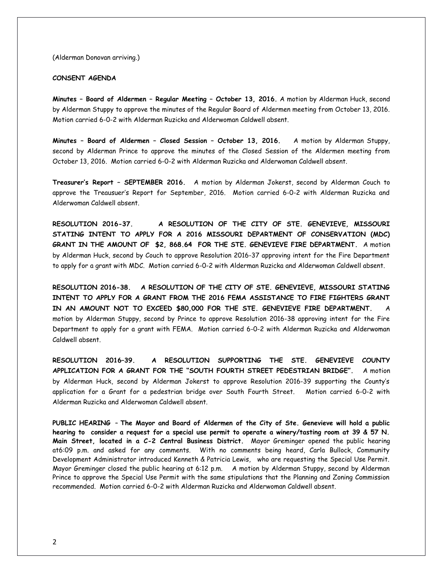(Alderman Donovan arriving.)

## **CONSENT AGENDA**

**Minutes – Board of Aldermen – Regular Meeting – October 13, 2016.** A motion by Alderman Huck, second by Alderman Stuppy to approve the minutes of the Regular Board of Aldermen meeting from October 13, 2016. Motion carried 6-0-2 with Alderman Ruzicka and Alderwoman Caldwell absent.

**Minutes – Board of Aldermen – Closed Session – October 13, 2016.** A motion by Alderman Stuppy, second by Alderman Prince to approve the minutes of the Closed Session of the Aldermen meeting from October 13, 2016. Motion carried 6-0-2 with Alderman Ruzicka and Alderwoman Caldwell absent.

**Treasurer's Report – SEPTEMBER 2016.** A motion by Alderman Jokerst, second by Alderman Couch to approve the Treausuer's Report for September, 2016. Motion carried 6-0-2 with Alderman Ruzicka and Alderwoman Caldwell absent.

**RESOLUTION 2016-37. A RESOLUTION OF THE CITY OF STE. GENEVIEVE, MISSOURI STATING INTENT TO APPLY FOR A 2016 MISSOURI DEPARTMENT OF CONSERVATION (MDC) GRANT IN THE AMOUNT OF \$2, 868.64 FOR THE STE. GENEVIEVE FIRE DEPARTMENT.** A motion by Alderman Huck, second by Couch to approve Resolution 2016-37 approving intent for the Fire Department to apply for a grant with MDC. Motion carried 6-0-2 with Alderman Ruzicka and Alderwoman Caldwell absent.

**RESOLUTION 2016-38. A RESOLUTION OF THE CITY OF STE. GENEVIEVE, MISSOURI STATING INTENT TO APPLY FOR A GRANT FROM THE 2016 FEMA ASSISTANCE TO FIRE FIGHTERS GRANT** IN AN AMOUNT NOT TO EXCEED \$80,000 FOR THE STE. GENEVIEVE FIRE DEPARTMENT. motion by Alderman Stuppy, second by Prince to approve Resolution 2016-38 approving intent for the Fire Department to apply for a grant with FEMA. Motion carried 6-0-2 with Alderman Ruzicka and Alderwoman Caldwell absent.

**RESOLUTION 2016–39. A RESOLUTION SUPPORTING THE STE. GENEVIEVE COUNTY APPLICATION FOR A GRANT FOR THE "SOUTH FOURTH STREET PEDESTRIAN BRIDGE".** A motion by Alderman Huck, second by Alderman Jokerst to approve Resolution 2016-39 supporting the County's application for a Grant for a pedestrian bridge over South Fourth Street. Motion carried 6-0-2 with Alderman Ruzicka and Alderwoman Caldwell absent.

**PUBLIC HEARING** – **The Mayor and Board of Aldermen of the City of Ste. Genevieve will hold a public hearing to consider a request for a special use permit to operate a winery/tasting room at 39 & 57 N. Main Street, located in a C-2 Central Business District.** Mayor Greminger opened the public hearing at6:09 p.m. and asked for any comments. With no comments being heard, Carla Bullock, Community Development Administrator introduced Kenneth & Patricia Lewis, who are requesting the Special Use Permit. Mayor Greminger closed the public hearing at 6:12 p.m. A motion by Alderman Stuppy, second by Alderman Prince to approve the Special Use Permit with the same stipulations that the Planning and Zoning Commission recommended. Motion carried 6-0-2 with Alderman Ruzicka and Alderwoman Caldwell absent.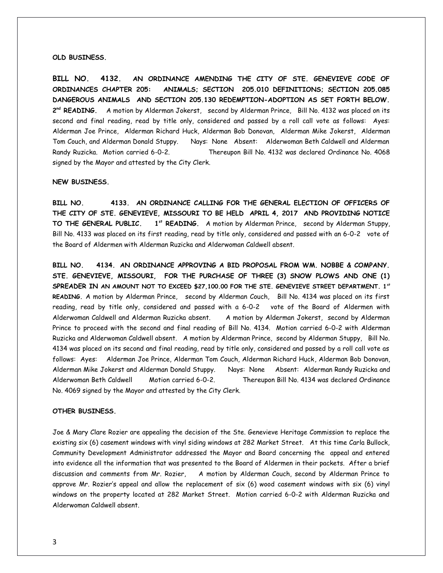#### **OLD BUSINESS.**

**BILL NO. 4132. AN ORDINANCE AMENDING THE CITY OF STE. GENEVIEVE CODE OF ORDINANCES CHAPTER 205: ANIMALS; SECTION 205.010 DEFINITIONS; SECTION 205.085 DANGEROUS ANIMALS AND SECTION 205.130 REDEMPTION-ADOPTION AS SET FORTH BELOW.** 2<sup>nd</sup> READING. A motion by Alderman Jokerst, second by Alderman Prince, Bill No. 4132 was placed on its second and final reading, read by title only, considered and passed by a roll call vote as follows: Ayes: Alderman Joe Prince, Alderman Richard Huck, Alderman Bob Donovan, Alderman Mike Jokerst, Alderman Tom Couch, and Alderman Donald Stuppy. Nays: None Absent: Alderwoman Beth Caldwell and Alderman Randy Ruzicka. Motion carried 6-0-2. Thereupon Bill No. 4132 was declared Ordinance No. 4068 signed by the Mayor and attested by the City Clerk.

#### **NEW BUSINESS.**

**BILL NO. 4133. AN ORDINANCE CALLING FOR THE GENERAL ELECTION OF OFFICERS OF THE CITY OF STE. GENEVIEVE, MISSOURI TO BE HELD APRIL 4, 2017 AND PROVIDING NOTICE TO THE GENERAL PUBLIC. 1st READING.** A motion by Alderman Prince, second by Alderman Stuppy, Bill No. 4133 was placed on its first reading, read by title only, considered and passed with an 6-0-2 vote of the Board of Aldermen with Alderman Ruzicka and Alderwoman Caldwell absent.

**BILL NO. 4134. AN ORDINANCE APPROVING A BID PROPOSAL FROM WM. NOBBE & COMPANY. STE. GENEVIEVE, MISSOURI, FOR THE PURCHASE OF THREE (3) SNOW PLOWS AND ONE (1) SPREADER IN AN AMOUNT NOT TO EXCEED \$27,100.00 FOR THE STE. GENEVIEVE STREET DEPARTMENT. 1st READING.** A motion by Alderman Prince, second by Alderman Couch, Bill No. 4134 was placed on its first reading, read by title only, considered and passed with a 6-0-2 vote of the Board of Aldermen with Alderwoman Caldwell and Alderman Ruzicka absent. A motion by Alderman Jokerst, second by Alderman Prince to proceed with the second and final reading of Bill No. 4134. Motion carried 6-0-2 with Alderman Ruzicka and Alderwoman Caldwell absent. A motion by Alderman Prince, second by Alderman Stuppy, Bill No. 4134 was placed on its second and final reading, read by title only, considered and passed by a roll call vote as follows: Ayes: Alderman Joe Prince, Alderman Tom Couch, Alderman Richard Huck, Alderman Bob Donovan, Alderman Mike Jokerst and Alderman Donald Stuppy. Nays: None Absent: Alderman Randy Ruzicka and Alderwoman Beth Caldwell Motion carried 6-0-2. Thereupon Bill No. 4134 was declared Ordinance No. 4069 signed by the Mayor and attested by the City Clerk.

## **OTHER BUSINESS.**

Joe & Mary Clare Rozier are appealing the decision of the Ste. Genevieve Heritage Commission to replace the existing six (6) casement windows with vinyl siding windows at 282 Market Street. At this time Carla Bullock, Community Development Administrator addressed the Mayor and Board concerning the appeal and entered into evidence all the information that was presented to the Board of Aldermen in their packets. After a brief discussion and comments from Mr. Rozier, A motion by Alderman Couch, second by Alderman Prince to approve Mr. Rozier's appeal and allow the replacement of six (6) wood casement windows with six (6) vinyl windows on the property located at 282 Market Street. Motion carried 6-0-2 with Alderman Ruzicka and Alderwoman Caldwell absent.